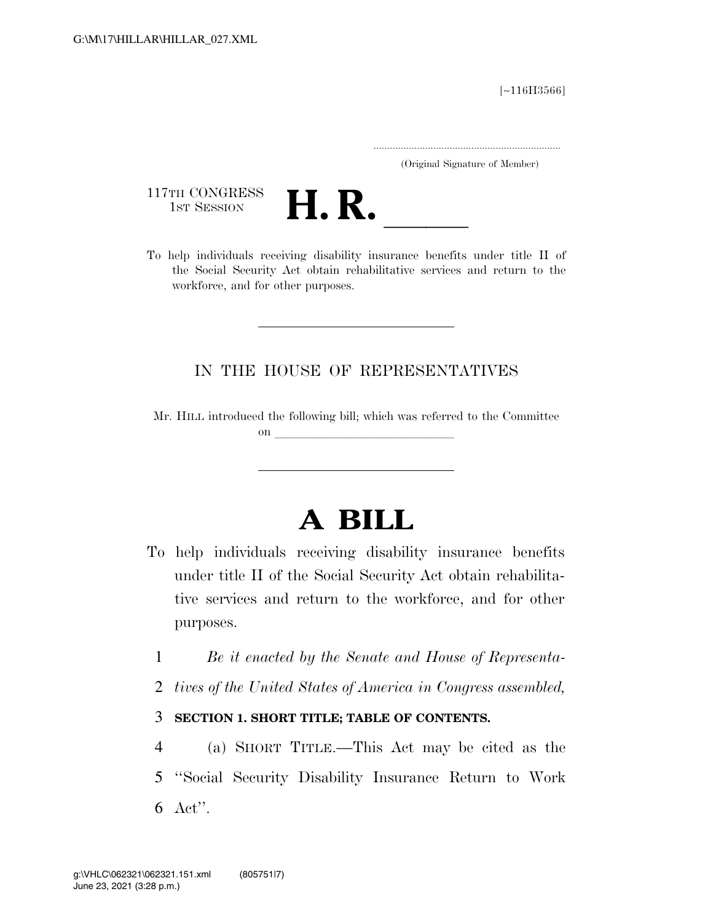[∼116H3566]

.....................................................................

(Original Signature of Member)

117TH CONGRESS<br>1st Session



117TH CONGRESS<br>1st SESSION **H. R.** <u>Individuals receiving disability insurance benefits under title II of</u> the Social Security Act obtain rehabilitative services and return to the workforce, and for other purposes.

### IN THE HOUSE OF REPRESENTATIVES

Mr. HILL introduced the following bill; which was referred to the Committee on  $\overline{\qquad \qquad }$ 

# **A BILL**

- To help individuals receiving disability insurance benefits under title II of the Social Security Act obtain rehabilitative services and return to the workforce, and for other purposes.
	- 1 *Be it enacted by the Senate and House of Representa-*
	- 2 *tives of the United States of America in Congress assembled,*

### 3 **SECTION 1. SHORT TITLE; TABLE OF CONTENTS.**

4 (a) SHORT TITLE.—This Act may be cited as the 5 ''Social Security Disability Insurance Return to Work 6 Act''.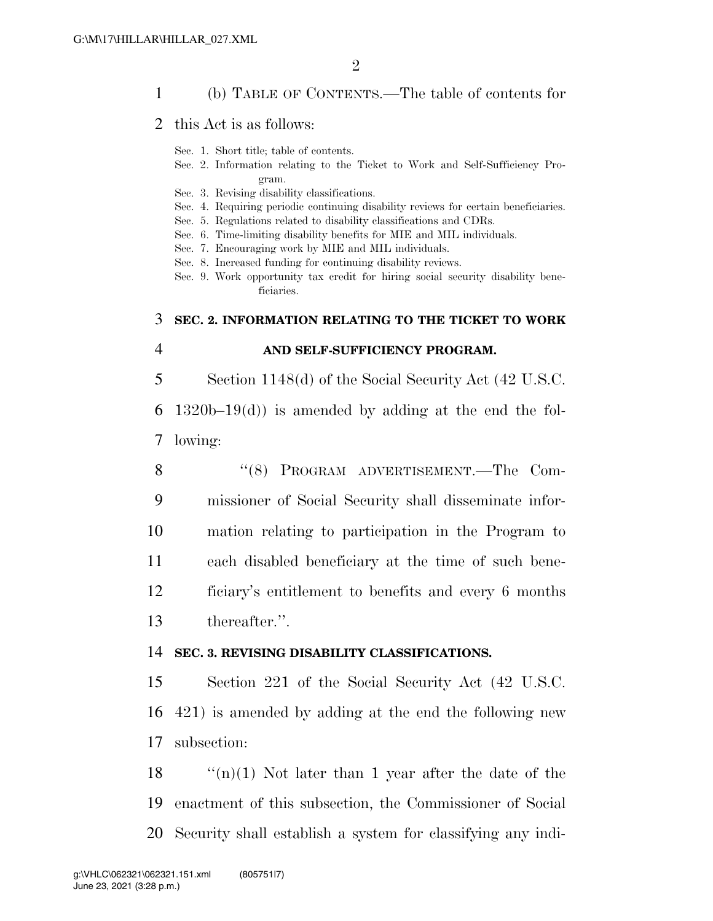#### 1 (b) TABLE OF CONTENTS.—The table of contents for

#### 2 this Act is as follows:

Sec. 1. Short title; table of contents.

- Sec. 2. Information relating to the Ticket to Work and Self-Sufficiency Program.
- Sec. 3. Revising disability classifications.
- Sec. 4. Requiring periodic continuing disability reviews for certain beneficiaries.
- Sec. 5. Regulations related to disability classifications and CDRs.
- Sec. 6. Time-limiting disability benefits for MIE and MIL individuals.
- Sec. 7. Encouraging work by MIE and MIL individuals.
- Sec. 8. Increased funding for continuing disability reviews.
- Sec. 9. Work opportunity tax credit for hiring social security disability beneficiaries.

#### 3 **SEC. 2. INFORMATION RELATING TO THE TICKET TO WORK**

#### 4 **AND SELF-SUFFICIENCY PROGRAM.**

5 Section 1148(d) of the Social Security Act (42 U.S.C.

6 1320b–19(d)) is amended by adding at the end the fol-7 lowing:

8 "(8) PROGRAM ADVERTISEMENT.—The Com- missioner of Social Security shall disseminate infor- mation relating to participation in the Program to each disabled beneficiary at the time of such bene- ficiary's entitlement to benefits and every 6 months thereafter.''.

#### 14 **SEC. 3. REVISING DISABILITY CLASSIFICATIONS.**

15 Section 221 of the Social Security Act (42 U.S.C. 16 421) is amended by adding at the end the following new 17 subsection:

18  $\qquad$  "(n)(1) Not later than 1 year after the date of the 19 enactment of this subsection, the Commissioner of Social 20 Security shall establish a system for classifying any indi-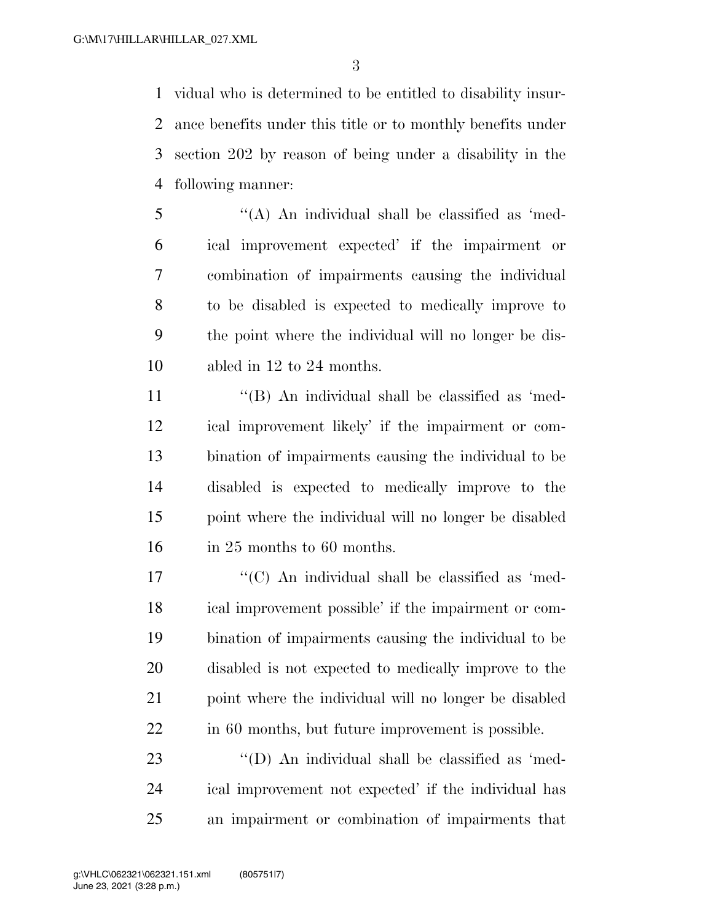vidual who is determined to be entitled to disability insur- ance benefits under this title or to monthly benefits under section 202 by reason of being under a disability in the following manner:

 ''(A) An individual shall be classified as 'med- ical improvement expected' if the impairment or combination of impairments causing the individual to be disabled is expected to medically improve to the point where the individual will no longer be dis-abled in 12 to 24 months.

11 ''(B) An individual shall be classified as 'med- ical improvement likely' if the impairment or com- bination of impairments causing the individual to be disabled is expected to medically improve to the point where the individual will no longer be disabled 16 in 25 months to 60 months.

17 ''(C) An individual shall be classified as 'med- ical improvement possible' if the impairment or com- bination of impairments causing the individual to be disabled is not expected to medically improve to the point where the individual will no longer be disabled in 60 months, but future improvement is possible.

23  $\langle (D)$  An individual shall be classified as 'med- ical improvement not expected' if the individual has an impairment or combination of impairments that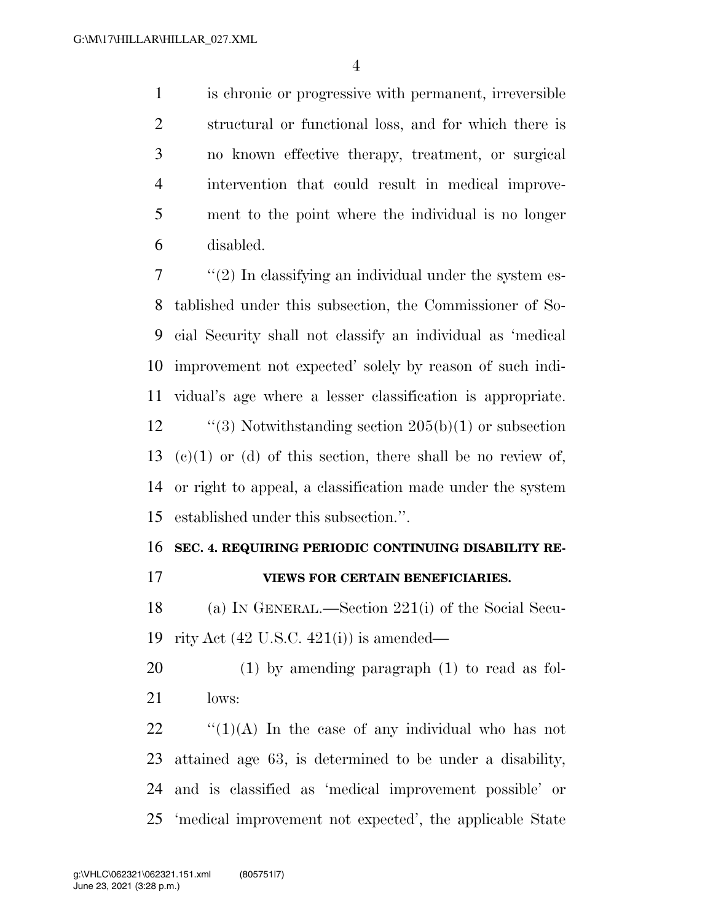is chronic or progressive with permanent, irreversible structural or functional loss, and for which there is no known effective therapy, treatment, or surgical intervention that could result in medical improve- ment to the point where the individual is no longer disabled.

 ''(2) In classifying an individual under the system es- tablished under this subsection, the Commissioner of So- cial Security shall not classify an individual as 'medical improvement not expected' solely by reason of such indi- vidual's age where a lesser classification is appropriate.  $\frac{12}{3}$  Notwithstanding section 205(b)(1) or subsection 13 (c)(1) or (d) of this section, there shall be no review of, or right to appeal, a classification made under the system established under this subsection.''.

#### **SEC. 4. REQUIRING PERIODIC CONTINUING DISABILITY RE-**

## **VIEWS FOR CERTAIN BENEFICIARIES.**

 (a) IN GENERAL.—Section 221(i) of the Social Secu-rity Act (42 U.S.C. 421(i)) is amended—

 (1) by amending paragraph (1) to read as fol-lows:

 $\frac{1}{2}$   $\frac{1}{2}$   $\frac{1}{2}$  In the case of any individual who has not attained age 63, is determined to be under a disability, and is classified as 'medical improvement possible' or 'medical improvement not expected', the applicable State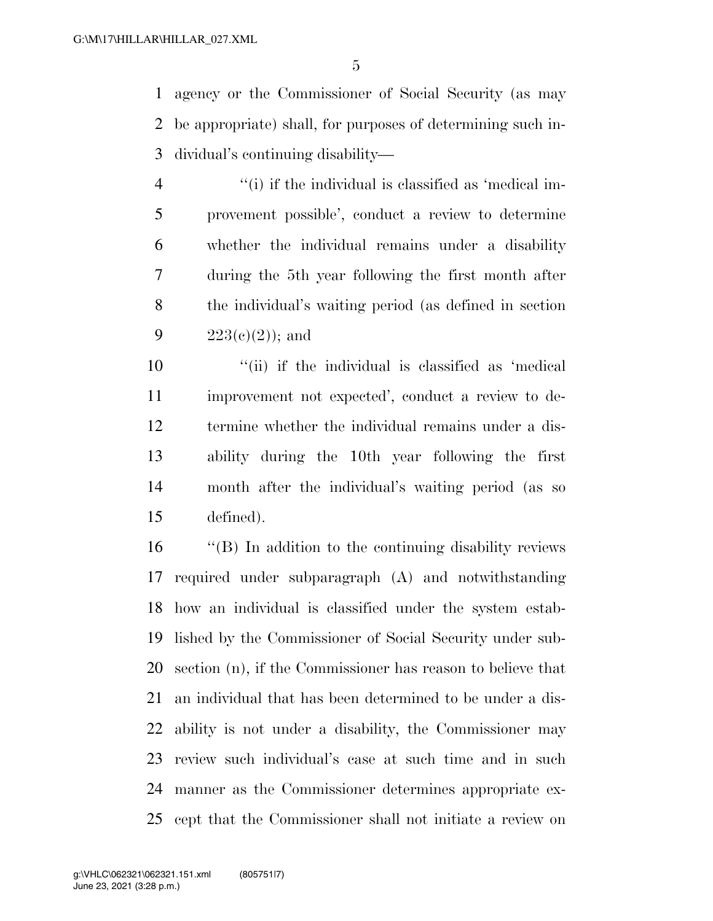agency or the Commissioner of Social Security (as may be appropriate) shall, for purposes of determining such in-dividual's continuing disability—

4 ''(i) if the individual is classified as 'medical im- provement possible', conduct a review to determine whether the individual remains under a disability during the 5th year following the first month after the individual's waiting period (as defined in section  $223(e)(2)$ ; and

 ''(ii) if the individual is classified as 'medical improvement not expected', conduct a review to de- termine whether the individual remains under a dis- ability during the 10th year following the first month after the individual's waiting period (as so defined).

 ''(B) In addition to the continuing disability reviews required under subparagraph (A) and notwithstanding how an individual is classified under the system estab- lished by the Commissioner of Social Security under sub- section (n), if the Commissioner has reason to believe that an individual that has been determined to be under a dis- ability is not under a disability, the Commissioner may review such individual's case at such time and in such manner as the Commissioner determines appropriate ex-cept that the Commissioner shall not initiate a review on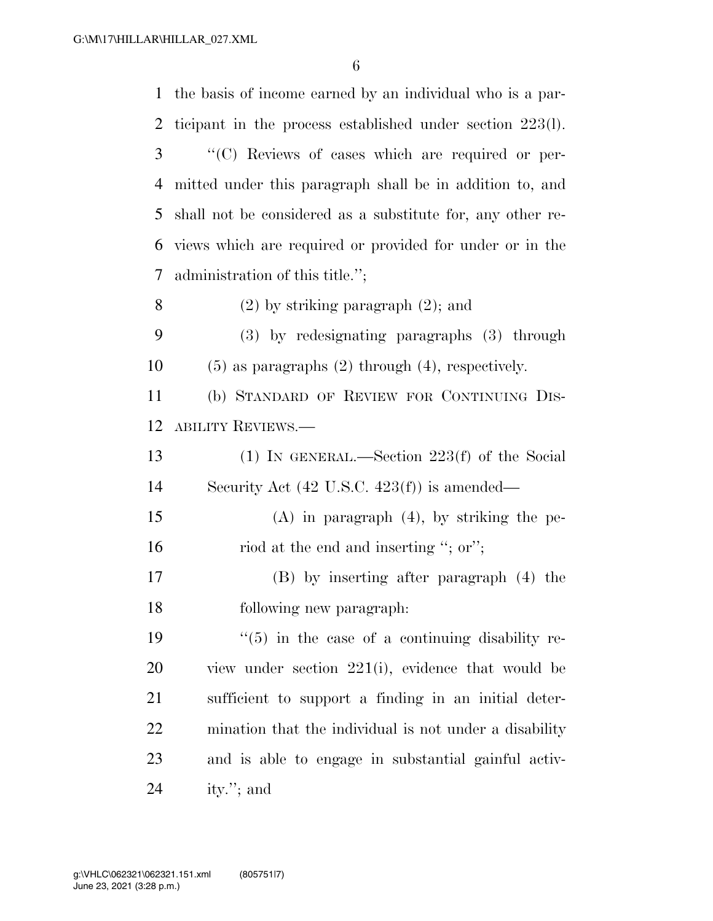the basis of income earned by an individual who is a par- ticipant in the process established under section 223(l). ''(C) Reviews of cases which are required or per- mitted under this paragraph shall be in addition to, and shall not be considered as a substitute for, any other re- views which are required or provided for under or in the administration of this title.''; (2) by striking paragraph (2); and (3) by redesignating paragraphs (3) through (5) as paragraphs (2) through (4), respectively. (b) STANDARD OF REVIEW FOR CONTINUING DIS- ABILITY REVIEWS.— (1) IN GENERAL.—Section 223(f) of the Social Security Act (42 U.S.C. 423(f)) is amended— (A) in paragraph (4), by striking the pe-16 riod at the end and inserting "; or"; (B) by inserting after paragraph (4) the following new paragraph:  $\frac{1}{5}$  in the case of a continuing disability re- view under section 221(i), evidence that would be sufficient to support a finding in an initial deter- mination that the individual is not under a disability and is able to engage in substantial gainful activ-ity.''; and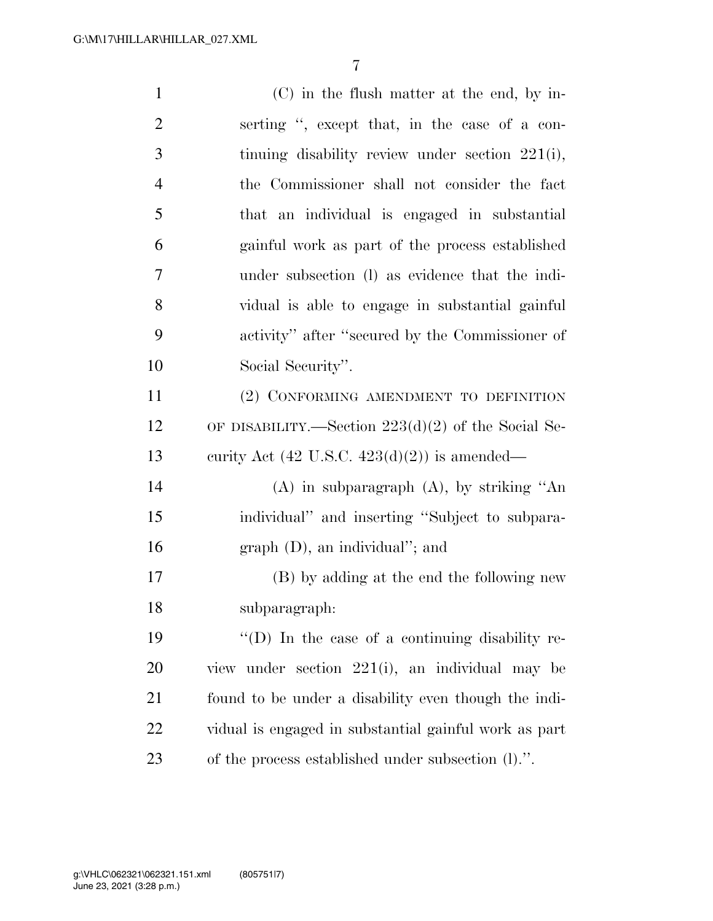| $\mathbf{1}$   | $(C)$ in the flush matter at the end, by in-            |
|----------------|---------------------------------------------------------|
| $\overline{2}$ | serting ", except that, in the case of a con-           |
| 3              | tinuing disability review under section $221(i)$ ,      |
| $\overline{4}$ | the Commissioner shall not consider the fact            |
| 5              | that an individual is engaged in substantial            |
| 6              | gainful work as part of the process established         |
| $\overline{7}$ | under subsection (I) as evidence that the indi-         |
| 8              | vidual is able to engage in substantial gainful         |
| 9              | activity" after "secured by the Commissioner of         |
| 10             | Social Security".                                       |
| 11             | (2) CONFORMING AMENDMENT TO DEFINITION                  |
| 12             | OF DISABILITY.—Section $223(d)(2)$ of the Social Se-    |
| 13             | curity Act $(42 \text{ U.S.C. } 423(d)(2))$ is amended— |
| 14             | $(A)$ in subparagraph $(A)$ , by striking "An           |
| 15             | individual" and inserting "Subject to subpara-          |
| 16             | $graph (D)$ , an individual"; and                       |
| $17\,$         | (B) by adding at the end the following new              |
| 18             | subparagraph:                                           |
| 19             | $\lq\lq$ (D) In the case of a continuing disability re- |
| 20             | view under section 221(i), an individual may be         |
| 21             | found to be under a disability even though the indi-    |
| 22             | vidual is engaged in substantial gainful work as part   |
| 23             | of the process established under subsection (1).".      |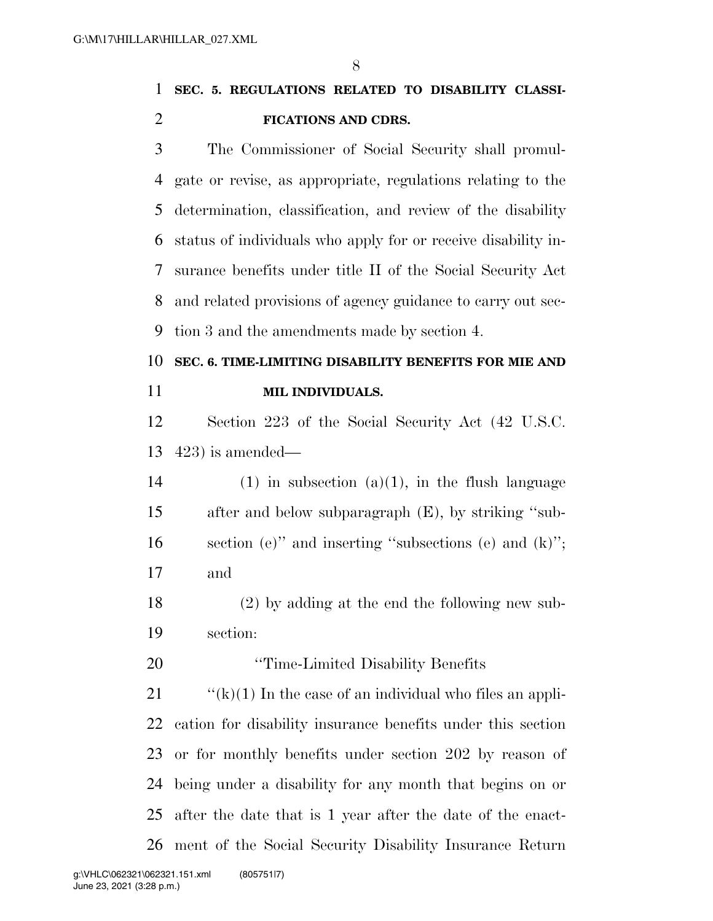# **SEC. 5. REGULATIONS RELATED TO DISABILITY CLASSI-FICATIONS AND CDRS.**

 The Commissioner of Social Security shall promul- gate or revise, as appropriate, regulations relating to the determination, classification, and review of the disability status of individuals who apply for or receive disability in- surance benefits under title II of the Social Security Act and related provisions of agency guidance to carry out sec-tion 3 and the amendments made by section 4.

# **SEC. 6. TIME-LIMITING DISABILITY BENEFITS FOR MIE AND MIL INDIVIDUALS.**

 Section 223 of the Social Security Act (42 U.S.C. 423) is amended—

- 14 (1) in subsection  $(a)(1)$ , in the flush language after and below subparagraph (E), by striking ''sub- section (e)'' and inserting ''subsections (e) and (k)''; and
- (2) by adding at the end the following new sub-section:
- **''Time-Limited Disability Benefits**

 $\frac{f'(k)}{1}$  In the case of an individual who files an appli- cation for disability insurance benefits under this section or for monthly benefits under section 202 by reason of being under a disability for any month that begins on or after the date that is 1 year after the date of the enact-ment of the Social Security Disability Insurance Return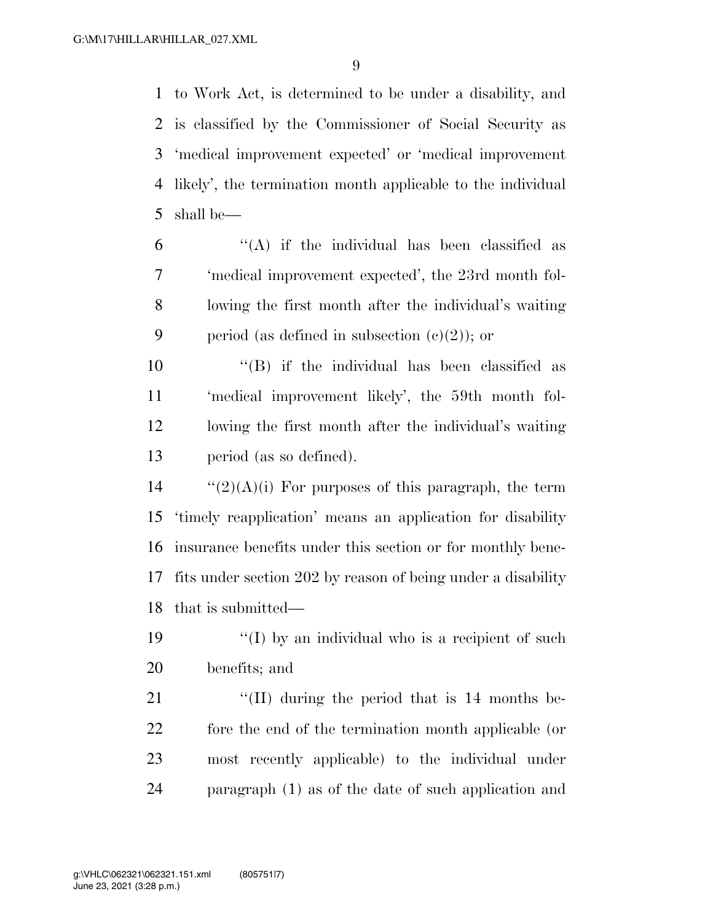to Work Act, is determined to be under a disability, and is classified by the Commissioner of Social Security as 'medical improvement expected' or 'medical improvement likely', the termination month applicable to the individual shall be—

 $(6)$  ''(A) if the individual has been classified as 'medical improvement expected', the 23rd month fol- lowing the first month after the individual's waiting 9 period (as defined in subsection  $(c)(2)$ ); or

 ''(B) if the individual has been classified as 'medical improvement likely', the 59th month fol- lowing the first month after the individual's waiting period (as so defined).

 $\frac{1}{2}(2)(A)(i)$  For purposes of this paragraph, the term 'timely reapplication' means an application for disability insurance benefits under this section or for monthly bene- fits under section 202 by reason of being under a disability that is submitted—

19 ''(I) by an individual who is a recipient of such benefits; and

21 ''(II) during the period that is 14 months be- fore the end of the termination month applicable (or most recently applicable) to the individual under paragraph (1) as of the date of such application and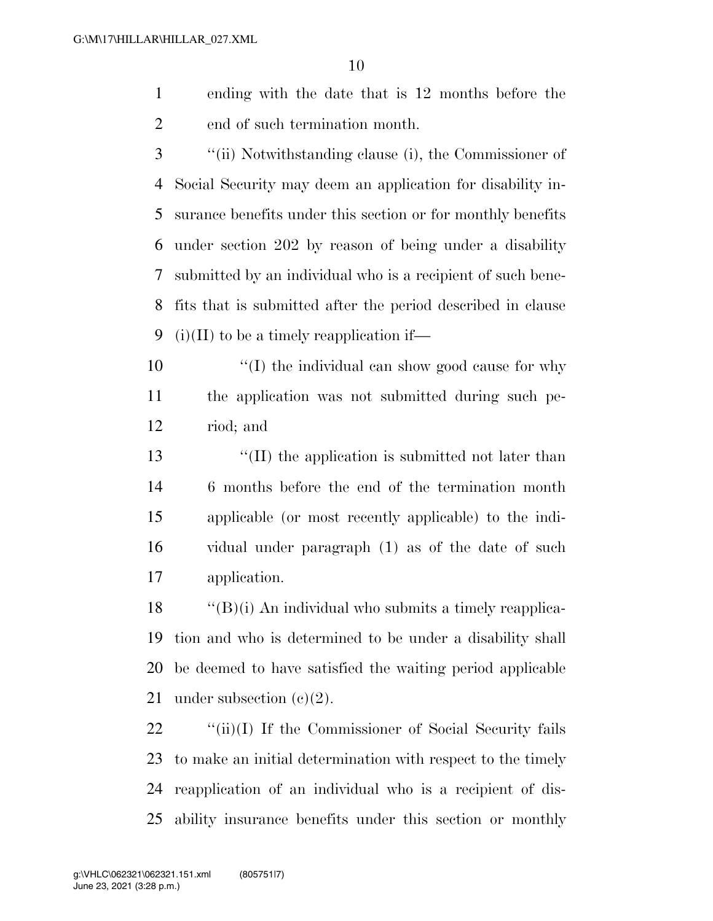- ending with the date that is 12 months before the end of such termination month.
- ''(ii) Notwithstanding clause (i), the Commissioner of Social Security may deem an application for disability in- surance benefits under this section or for monthly benefits under section 202 by reason of being under a disability submitted by an individual who is a recipient of such bene- fits that is submitted after the period described in clause 9 (i)(II) to be a timely reapplication if—
- 10  $\frac{1}{2}$  (I) the individual can show good cause for why the application was not submitted during such pe-riod; and
- ''(II) the application is submitted not later than 6 months before the end of the termination month applicable (or most recently applicable) to the indi- vidual under paragraph (1) as of the date of such application.

 "'(B)(i) An individual who submits a timely reapplica- tion and who is determined to be under a disability shall be deemed to have satisfied the waiting period applicable 21 under subsection  $(e)(2)$ .

22 ''(ii)(I) If the Commissioner of Social Security fails to make an initial determination with respect to the timely reapplication of an individual who is a recipient of dis-ability insurance benefits under this section or monthly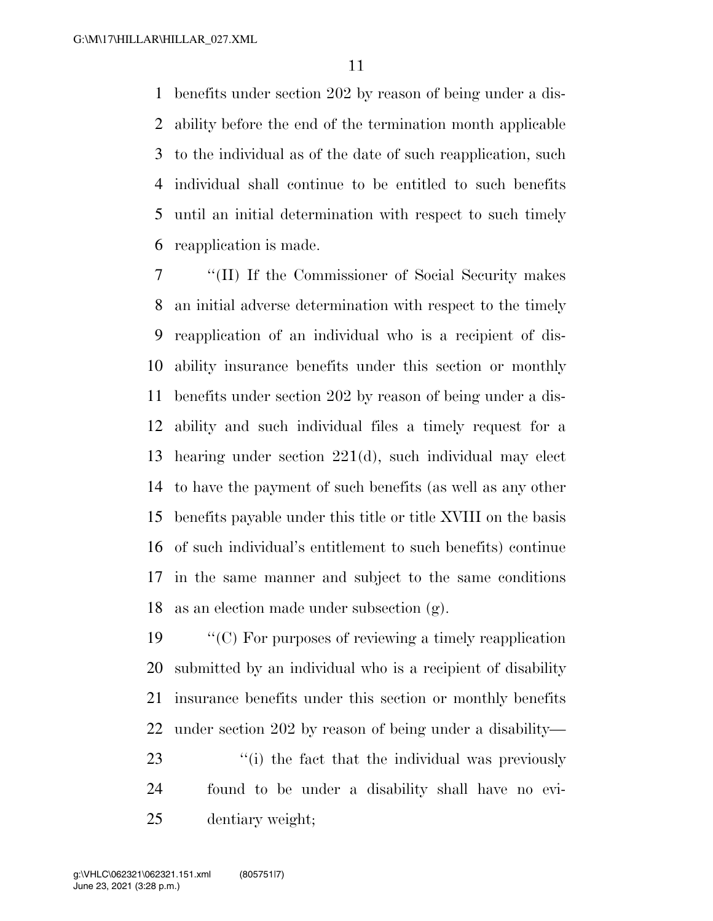benefits under section 202 by reason of being under a dis- ability before the end of the termination month applicable to the individual as of the date of such reapplication, such individual shall continue to be entitled to such benefits until an initial determination with respect to such timely reapplication is made.

 ''(II) If the Commissioner of Social Security makes an initial adverse determination with respect to the timely reapplication of an individual who is a recipient of dis- ability insurance benefits under this section or monthly benefits under section 202 by reason of being under a dis- ability and such individual files a timely request for a hearing under section 221(d), such individual may elect to have the payment of such benefits (as well as any other benefits payable under this title or title XVIII on the basis of such individual's entitlement to such benefits) continue in the same manner and subject to the same conditions as an election made under subsection (g).

 ''(C) For purposes of reviewing a timely reapplication submitted by an individual who is a recipient of disability insurance benefits under this section or monthly benefits under section 202 by reason of being under a disability— 23 ''(i) the fact that the individual was previously

 found to be under a disability shall have no evi-dentiary weight;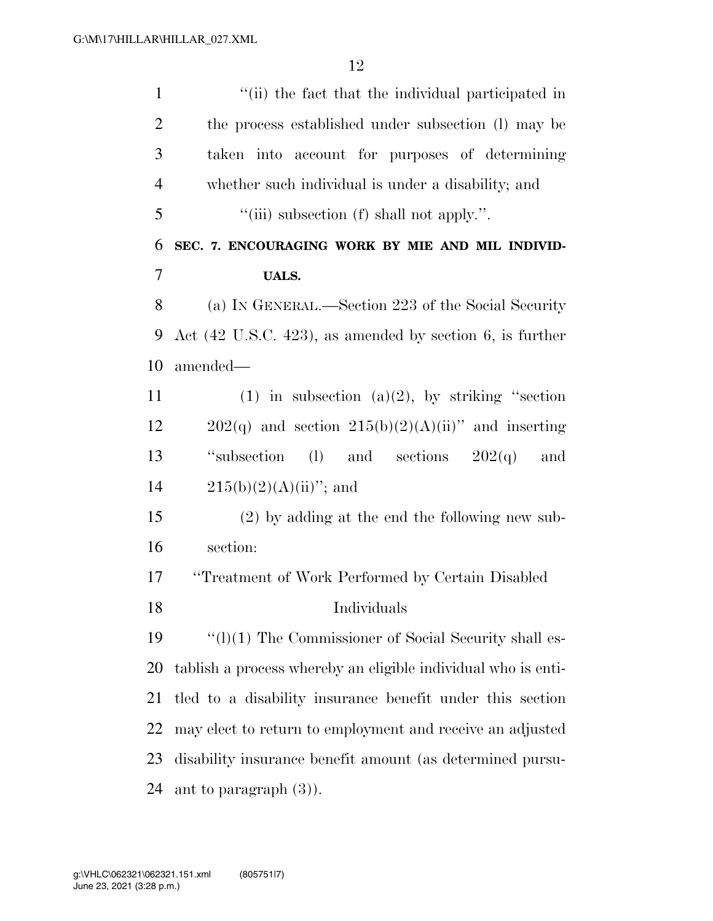| $\mathbf{1}$   | "(ii) the fact that the individual participated in                   |
|----------------|----------------------------------------------------------------------|
| $\overline{2}$ | the process established under subsection (1) may be                  |
| 3              | taken into account for purposes of determining                       |
| $\overline{4}$ | whether such individual is under a disability; and                   |
| 5              | "(iii) subsection (f) shall not apply.".                             |
| 6              | SEC. 7. ENCOURAGING WORK BY MIE AND MIL INDIVID-                     |
| 7              | <b>UALS.</b>                                                         |
| 8              | (a) IN GENERAL.—Section 223 of the Social Security                   |
| 9              | Act $(42 \text{ U.S.C. } 423)$ , as amended by section 6, is further |
| 10             | amended—                                                             |
| 11             | (1) in subsection (a)(2), by striking "section                       |
| 12             | $202(q)$ and section $215(b)(2)(A)(ii)$ and inserting                |
| 13             | "subsection"<br>(1) and sections $202(q)$ and                        |
| 14             | $215(b)(2)(A)(ii)$ "; and                                            |
| 15             | $(2)$ by adding at the end the following new sub-                    |
| 16             | section:                                                             |
| 17             | "Treatment of Work Performed by Certain Disabled                     |
| 18             | Individuals                                                          |
| 19             | $\lq\lq$ (1)(1) The Commissioner of Social Security shall es-        |
| 20             | tablish a process whereby an eligible individual who is enti-        |
| 21             | tled to a disability insurance benefit under this section            |
| 22             | may elect to return to employment and receive an adjusted            |
| 23             | disability insurance benefit amount (as determined pursu-            |
|                |                                                                      |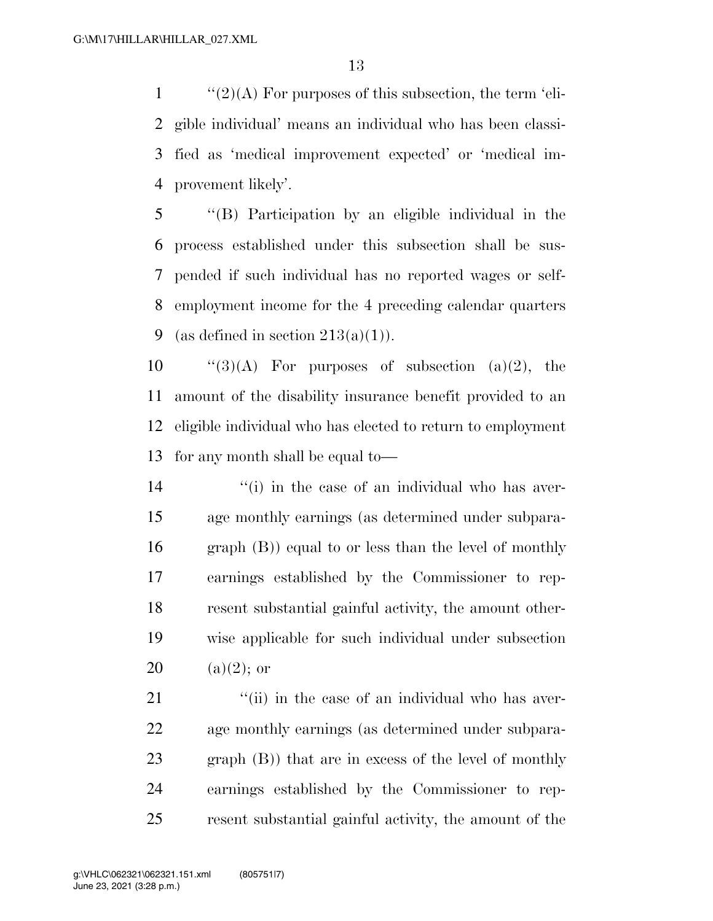''(2)(A) For purposes of this subsection, the term 'eli- gible individual' means an individual who has been classi- fied as 'medical improvement expected' or 'medical im-provement likely'.

 ''(B) Participation by an eligible individual in the process established under this subsection shall be sus- pended if such individual has no reported wages or self- employment income for the 4 preceding calendar quarters 9 (as defined in section  $213(a)(1)$ ).

 $\text{``(3)(A)}$  For purposes of subsection (a)(2), the amount of the disability insurance benefit provided to an eligible individual who has elected to return to employment for any month shall be equal to—

14 ''(i) in the case of an individual who has aver- age monthly earnings (as determined under subpara- graph (B)) equal to or less than the level of monthly earnings established by the Commissioner to rep- resent substantial gainful activity, the amount other- wise applicable for such individual under subsection 20 (a)(2); or

 $\frac{1}{2}$  (ii) in the case of an individual who has aver- age monthly earnings (as determined under subpara- graph (B)) that are in excess of the level of monthly earnings established by the Commissioner to rep-resent substantial gainful activity, the amount of the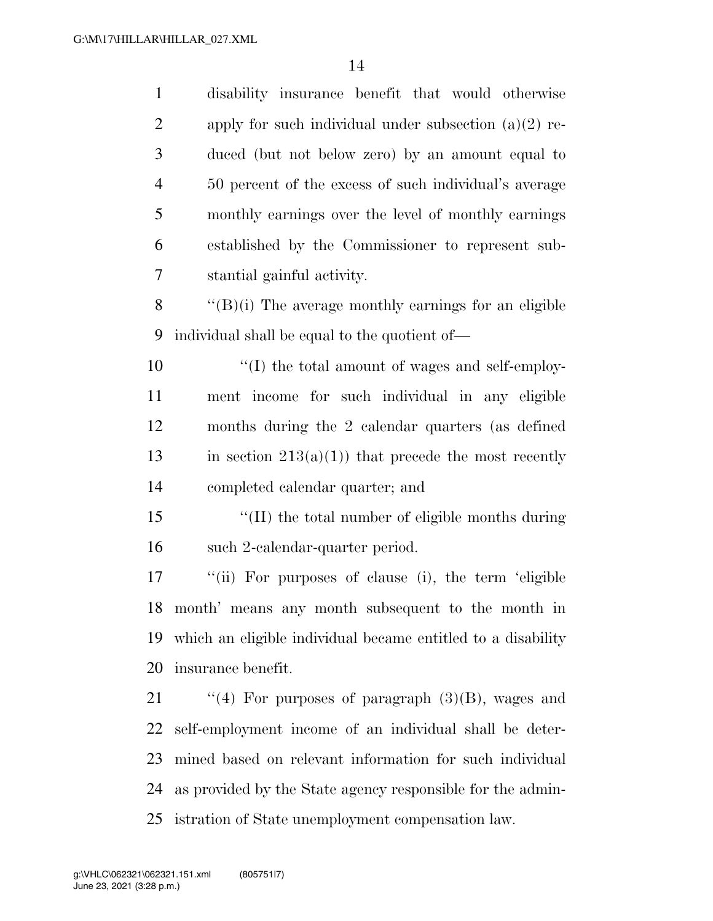disability insurance benefit that would otherwise 2 apply for such individual under subsection  $(a)(2)$  re- duced (but not below zero) by an amount equal to 50 percent of the excess of such individual's average monthly earnings over the level of monthly earnings established by the Commissioner to represent sub- stantial gainful activity.  $\langle$  "(B)(i) The average monthly earnings for an eligible individual shall be equal to the quotient of— ''(I) the total amount of wages and self-employ- ment income for such individual in any eligible months during the 2 calendar quarters (as defined 13 in section  $213(a)(1)$  that precede the most recently completed calendar quarter; and ''(II) the total number of eligible months during such 2-calendar-quarter period. ''(ii) For purposes of clause (i), the term 'eligible month' means any month subsequent to the month in which an eligible individual became entitled to a disability insurance benefit.  $\frac{1}{2}$  (4) For purposes of paragraph (3)(B), wages and self-employment income of an individual shall be deter- mined based on relevant information for such individual as provided by the State agency responsible for the admin-

istration of State unemployment compensation law.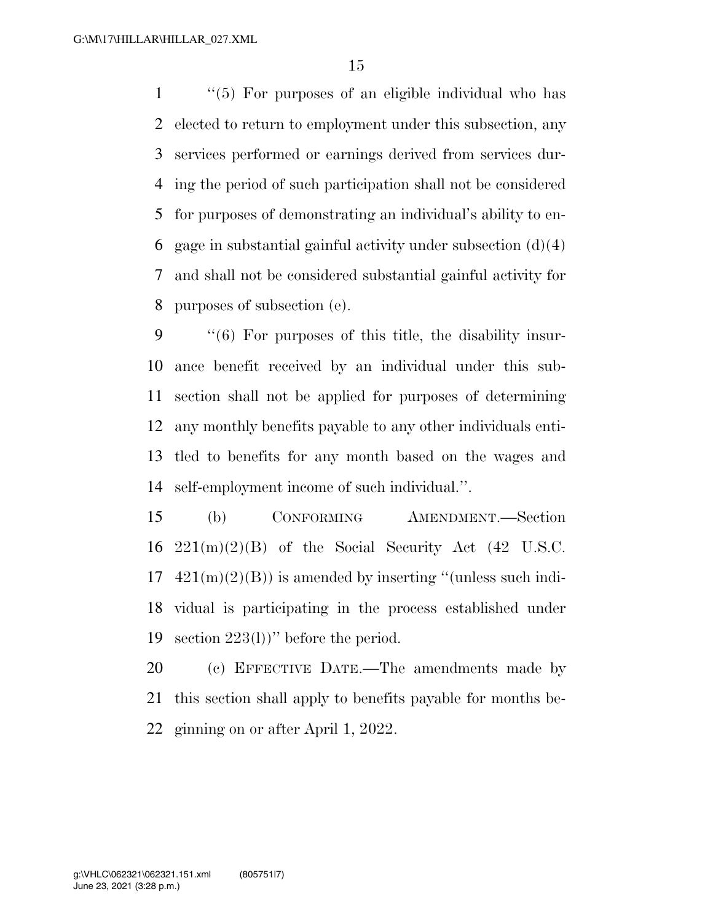''(5) For purposes of an eligible individual who has elected to return to employment under this subsection, any services performed or earnings derived from services dur- ing the period of such participation shall not be considered for purposes of demonstrating an individual's ability to en-6 gage in substantial gainful activity under subsection  $(d)(4)$  and shall not be considered substantial gainful activity for purposes of subsection (e).

 ''(6) For purposes of this title, the disability insur- ance benefit received by an individual under this sub- section shall not be applied for purposes of determining any monthly benefits payable to any other individuals enti- tled to benefits for any month based on the wages and self-employment income of such individual.''.

 (b) CONFORMING AMENDMENT.—Section  $221(m)(2)(B)$  of the Social Security Act (42 U.S.C.  $17 \quad 421(m)(2)(B)$  is amended by inserting "(unless such indi- vidual is participating in the process established under section 223(l))'' before the period.

 (c) EFFECTIVE DATE.—The amendments made by this section shall apply to benefits payable for months be-ginning on or after April 1, 2022.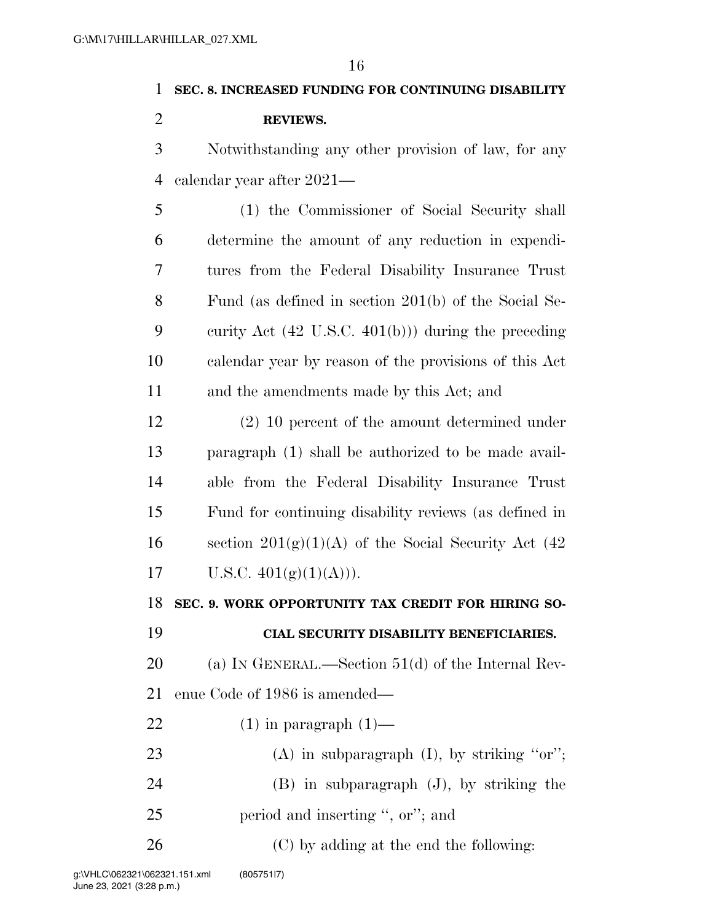# **SEC. 8. INCREASED FUNDING FOR CONTINUING DISABILITY**

**REVIEWS.** 

 Notwithstanding any other provision of law, for any calendar year after 2021—

 (1) the Commissioner of Social Security shall determine the amount of any reduction in expendi- tures from the Federal Disability Insurance Trust Fund (as defined in section 201(b) of the Social Se- curity Act (42 U.S.C. 401(b))) during the preceding calendar year by reason of the provisions of this Act and the amendments made by this Act; and

 (2) 10 percent of the amount determined under paragraph (1) shall be authorized to be made avail- able from the Federal Disability Insurance Trust Fund for continuing disability reviews (as defined in 16 section  $201(g)(1)(A)$  of the Social Security Act (42) 17 U.S.C.  $401(g)(1)(A))$ .

**SEC. 9. WORK OPPORTUNITY TAX CREDIT FOR HIRING SO-**

### **CIAL SECURITY DISABILITY BENEFICIARIES.**

 (a) IN GENERAL.—Section 51(d) of the Internal Rev-enue Code of 1986 is amended—

- 22  $(1)$  in paragraph  $(1)$ —
- 23 (A) in subparagraph  $(I)$ , by striking "or"; (B) in subparagraph (J), by striking the 25 period and inserting ", or"; and
- (C) by adding at the end the following: